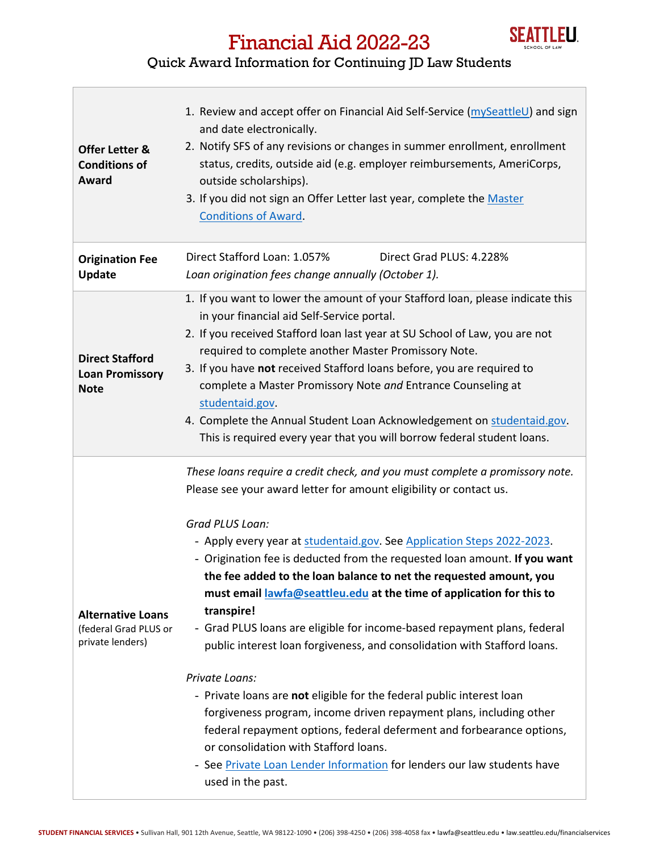

## Financial Aid 2022-23

## Quick Award Information for Continuing JD Law Students

| <b>Offer Letter &amp;</b><br><b>Conditions of</b><br>Award            | 1. Review and accept offer on Financial Aid Self-Service (mySeattleU) and sign<br>and date electronically.<br>2. Notify SFS of any revisions or changes in summer enrollment, enrollment<br>status, credits, outside aid (e.g. employer reimbursements, AmeriCorps,<br>outside scholarships).<br>3. If you did not sign an Offer Letter last year, complete the Master<br><b>Conditions of Award.</b>                                                                                                                                                                                                                                                                                                                                                                                                                                                                                                                                                                                                                                |
|-----------------------------------------------------------------------|--------------------------------------------------------------------------------------------------------------------------------------------------------------------------------------------------------------------------------------------------------------------------------------------------------------------------------------------------------------------------------------------------------------------------------------------------------------------------------------------------------------------------------------------------------------------------------------------------------------------------------------------------------------------------------------------------------------------------------------------------------------------------------------------------------------------------------------------------------------------------------------------------------------------------------------------------------------------------------------------------------------------------------------|
| <b>Origination Fee</b><br><b>Update</b>                               | Direct Stafford Loan: 1.057%<br>Direct Grad PLUS: 4.228%<br>Loan origination fees change annually (October 1).                                                                                                                                                                                                                                                                                                                                                                                                                                                                                                                                                                                                                                                                                                                                                                                                                                                                                                                       |
| <b>Direct Stafford</b><br><b>Loan Promissory</b><br><b>Note</b>       | 1. If you want to lower the amount of your Stafford loan, please indicate this<br>in your financial aid Self-Service portal.<br>2. If you received Stafford loan last year at SU School of Law, you are not<br>required to complete another Master Promissory Note.<br>3. If you have not received Stafford loans before, you are required to<br>complete a Master Promissory Note and Entrance Counseling at<br>studentaid.gov.<br>4. Complete the Annual Student Loan Acknowledgement on studentaid.gov.<br>This is required every year that you will borrow federal student loans.                                                                                                                                                                                                                                                                                                                                                                                                                                                |
| <b>Alternative Loans</b><br>(federal Grad PLUS or<br>private lenders) | These loans require a credit check, and you must complete a promissory note.<br>Please see your award letter for amount eligibility or contact us.<br>Grad PLUS Loan:<br>- Apply every year at studentaid.gov. See Application Steps 2022-2023.<br>- Origination fee is deducted from the requested loan amount. If you want<br>the fee added to the loan balance to net the requested amount, you<br>must email lawfa@seattleu.edu at the time of application for this to<br>transpire!<br>- Grad PLUS loans are eligible for income-based repayment plans, federal<br>public interest loan forgiveness, and consolidation with Stafford loans.<br>Private Loans:<br>- Private loans are not eligible for the federal public interest loan<br>forgiveness program, income driven repayment plans, including other<br>federal repayment options, federal deferment and forbearance options,<br>or consolidation with Stafford loans.<br>- See Private Loan Lender Information for lenders our law students have<br>used in the past. |